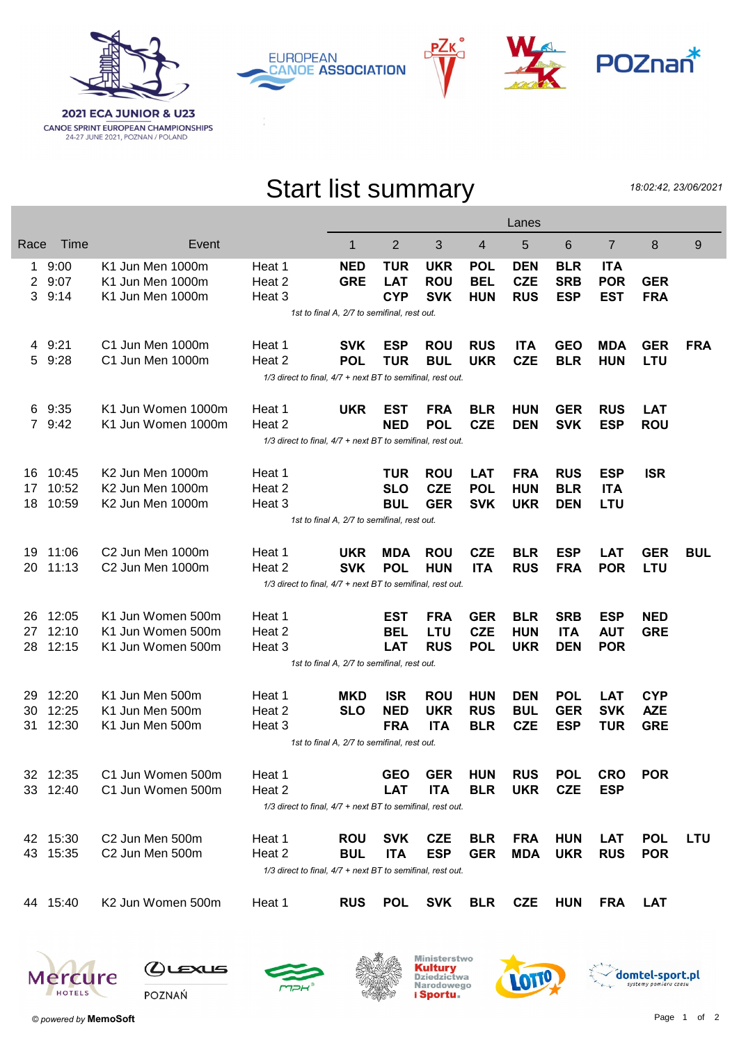





PZк



## Start list summary

18:02:42, 23/06/2021

|                |                                                            |                                                            |                                                            |            |            |            |            | Lanes      |            |                |            |            |
|----------------|------------------------------------------------------------|------------------------------------------------------------|------------------------------------------------------------|------------|------------|------------|------------|------------|------------|----------------|------------|------------|
| Race           | Time                                                       | Event                                                      |                                                            | 1          | 2          | 3          | 4          | 5          | 6          | $\overline{7}$ | 8          | 9          |
| 1              | 9:00                                                       | K1 Jun Men 1000m                                           | Heat 1                                                     | <b>NED</b> | <b>TUR</b> | <b>UKR</b> | <b>POL</b> | <b>DEN</b> | <b>BLR</b> | <b>ITA</b>     |            |            |
| $\overline{2}$ | 9:07                                                       | K1 Jun Men 1000m                                           | Heat 2                                                     | <b>GRE</b> | <b>LAT</b> | <b>ROU</b> | <b>BEL</b> | <b>CZE</b> | <b>SRB</b> | <b>POR</b>     | <b>GER</b> |            |
| 3              | 9:14                                                       | K1 Jun Men 1000m                                           | Heat 3                                                     |            | <b>CYP</b> | <b>SVK</b> | <b>HUN</b> | <b>RUS</b> | <b>ESP</b> | <b>EST</b>     | <b>FRA</b> |            |
|                | 1st to final A, 2/7 to semifinal, rest out.                |                                                            |                                                            |            |            |            |            |            |            |                |            |            |
|                | 4 9:21                                                     | C1 Jun Men 1000m                                           | Heat 1                                                     | <b>SVK</b> | <b>ESP</b> | <b>ROU</b> | <b>RUS</b> | <b>ITA</b> | <b>GEO</b> | <b>MDA</b>     | <b>GER</b> | <b>FRA</b> |
| 5              | 9:28                                                       | C1 Jun Men 1000m                                           | Heat 2                                                     | <b>POL</b> | <b>TUR</b> | <b>BUL</b> | <b>UKR</b> | <b>CZE</b> | <b>BLR</b> | <b>HUN</b>     | <b>LTU</b> |            |
|                | 1/3 direct to final, 4/7 + next BT to semifinal, rest out. |                                                            |                                                            |            |            |            |            |            |            |                |            |            |
|                | 6 9:35                                                     | K1 Jun Women 1000m                                         | Heat 1                                                     | <b>UKR</b> | <b>EST</b> | <b>FRA</b> | <b>BLR</b> | <b>HUN</b> | <b>GER</b> | <b>RUS</b>     | <b>LAT</b> |            |
|                | 7 9:42                                                     | K1 Jun Women 1000m                                         | Heat 2                                                     |            | <b>NED</b> | <b>POL</b> | <b>CZE</b> | <b>DEN</b> | <b>SVK</b> | <b>ESP</b>     | <b>ROU</b> |            |
|                |                                                            | 1/3 direct to final, 4/7 + next BT to semifinal, rest out. |                                                            |            |            |            |            |            |            |                |            |            |
| 16             | 10:45                                                      | K2 Jun Men 1000m                                           | Heat 1                                                     |            | <b>TUR</b> | <b>ROU</b> | <b>LAT</b> | <b>FRA</b> | <b>RUS</b> | <b>ESP</b>     | <b>ISR</b> |            |
| 17             | 10:52                                                      | K2 Jun Men 1000m                                           | Heat 2                                                     |            | <b>SLO</b> | <b>CZE</b> | <b>POL</b> | <b>HUN</b> | <b>BLR</b> | <b>ITA</b>     |            |            |
| 18             | 10:59                                                      | K2 Jun Men 1000m                                           | Heat 3                                                     |            | <b>BUL</b> | <b>GER</b> | <b>SVK</b> | <b>UKR</b> | <b>DEN</b> | <b>LTU</b>     |            |            |
|                | 1st to final A, 2/7 to semifinal, rest out.                |                                                            |                                                            |            |            |            |            |            |            |                |            |            |
| 19             | 11:06                                                      | C2 Jun Men 1000m                                           | Heat 1                                                     | <b>UKR</b> | <b>MDA</b> | <b>ROU</b> | <b>CZE</b> | <b>BLR</b> | <b>ESP</b> | <b>LAT</b>     | <b>GER</b> | <b>BUL</b> |
| 20             | 11:13                                                      | C2 Jun Men 1000m                                           | Heat 2                                                     | <b>SVK</b> | <b>POL</b> | <b>HUN</b> | <b>ITA</b> | <b>RUS</b> | <b>FRA</b> | <b>POR</b>     | LTU        |            |
|                | 1/3 direct to final, 4/7 + next BT to semifinal, rest out. |                                                            |                                                            |            |            |            |            |            |            |                |            |            |
| 26             | 12:05                                                      | K1 Jun Women 500m                                          | Heat 1                                                     |            | EST        | <b>FRA</b> | <b>GER</b> | <b>BLR</b> | <b>SRB</b> | <b>ESP</b>     | <b>NED</b> |            |
| 27             | 12:10                                                      | K1 Jun Women 500m                                          | Heat 2                                                     |            | <b>BEL</b> | <b>LTU</b> | <b>CZE</b> | <b>HUN</b> | <b>ITA</b> | <b>AUT</b>     | <b>GRE</b> |            |
| 28             | 12:15                                                      | K1 Jun Women 500m                                          | Heat 3                                                     |            | <b>LAT</b> | <b>RUS</b> | <b>POL</b> | <b>UKR</b> | <b>DEN</b> | <b>POR</b>     |            |            |
|                | 1st to final A, 2/7 to semifinal, rest out.                |                                                            |                                                            |            |            |            |            |            |            |                |            |            |
| 29             | 12:20                                                      | K1 Jun Men 500m                                            | Heat 1                                                     | <b>MKD</b> | <b>ISR</b> | <b>ROU</b> | <b>HUN</b> | <b>DEN</b> | <b>POL</b> | <b>LAT</b>     | <b>CYP</b> |            |
| 30             | 12:25                                                      | K1 Jun Men 500m                                            | Heat 2                                                     | <b>SLO</b> | <b>NED</b> | <b>UKR</b> | <b>RUS</b> | <b>BUL</b> | <b>GER</b> | <b>SVK</b>     | <b>AZE</b> |            |
| 31             | 12:30                                                      | K1 Jun Men 500m                                            | Heat 3                                                     |            | <b>FRA</b> | <b>ITA</b> | <b>BLR</b> | <b>CZE</b> | <b>ESP</b> | <b>TUR</b>     | <b>GRE</b> |            |
|                | 1st to final A, 2/7 to semifinal, rest out.                |                                                            |                                                            |            |            |            |            |            |            |                |            |            |
|                | 32 12:35                                                   | C1 Jun Women 500m                                          | Heat 1                                                     |            | <b>GEO</b> | <b>GER</b> | <b>HUN</b> | <b>RUS</b> | <b>POL</b> | <b>CRO</b>     | <b>POR</b> |            |
|                | 33 12:40                                                   | C1 Jun Women 500m                                          | Heat 2                                                     |            | <b>LAT</b> | <b>ITA</b> | <b>BLR</b> | <b>UKR</b> | <b>CZE</b> | <b>ESP</b>     |            |            |
|                |                                                            | 1/3 direct to final, 4/7 + next BT to semifinal, rest out. |                                                            |            |            |            |            |            |            |                |            |            |
|                | 42 15:30                                                   | C2 Jun Men 500m                                            | Heat 1                                                     | <b>ROU</b> | <b>SVK</b> | <b>CZE</b> | <b>BLR</b> | <b>FRA</b> | <b>HUN</b> | <b>LAT</b>     | <b>POL</b> | LTU        |
|                | 43 15:35                                                   | C2 Jun Men 500m                                            | Heat 2                                                     | <b>BUL</b> | <b>ITA</b> | <b>ESP</b> | <b>GER</b> | <b>MDA</b> | <b>UKR</b> | <b>RUS</b>     | <b>POR</b> |            |
|                |                                                            |                                                            | 1/3 direct to final, 4/7 + next BT to semifinal, rest out. |            |            |            |            |            |            |                |            |            |
|                | 44 15:40                                                   | K2 Jun Women 500m                                          | Heat 1                                                     | <b>RUS</b> | <b>POL</b> | <b>SVK</b> | <b>BLR</b> | <b>CZE</b> | <b>HUN</b> | <b>FRA</b>     | <b>LAT</b> |            |
|                |                                                            |                                                            |                                                            |            |            |            |            |            |            |                |            |            |